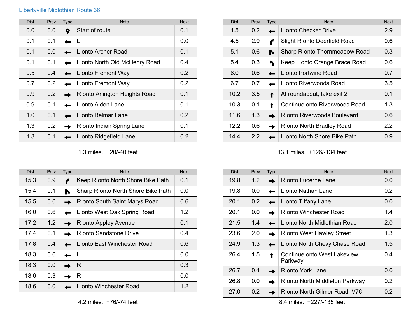## Libertyville Midlothian Route 36

| <b>Dist</b> | Prev | Type | <b>Note</b>                   | <b>Next</b>      |
|-------------|------|------|-------------------------------|------------------|
| 0.0         | 0.0  | 0    | Start of route                | 0.1              |
| 0.1         | 0.1  |      | L                             | 0.0              |
| 0.1         | 0.0  |      | L onto Archer Road            | 0.1              |
| 0.1         | 0.1  |      | L onto North Old McHenry Road | 0.4              |
| 0.5         | 0.4  |      | L onto Fremont Way            | 0.2              |
| 0.7         | 0.2  |      | L onto Fremont Way            | 0.2 <sub>0</sub> |
| 0.9         | 0.2  |      | R onto Arlington Heights Road | 0.1              |
| 0.9         | 0.1  |      | L onto Alden Lane             | 0.1              |
| 1.0         | 0.1  |      | L onto Belmar Lane            | 0.2              |
| 1.3         | 0.2  |      | R onto Indian Spring Lane     | 0.1              |
| 1.3         | 0.1  |      | L onto Ridgefield Lane        | 0.2              |

1.3 miles. +20/-40 feet

\_\_\_\_\_\_\_\_\_\_\_\_\_\_\_\_\_\_\_\_\_\_\_\_\_\_\_\_\_\_\_

 $\mathbf{L}$  $\pm 1$ 

 $\blacksquare$ 

| <b>Dist</b> | Prev | Type | <b>Note</b>                        | <b>Next</b>      |
|-------------|------|------|------------------------------------|------------------|
| 15.3        | 0.9  |      | Keep R onto North Shore Bike Path  | 0.1              |
| 15.4        | 0.1  |      | Sharp R onto North Shore Bike Path | 0.0              |
| 15.5        | 0.0  |      | R onto South Saint Marys Road      | 0.6              |
| 16.0        | 0.6  |      | L onto West Oak Spring Road        | 1.2              |
| 17.2        | 1.2  |      | R onto Appley Avenue               | 0.1              |
| 17.4        | 0.1  |      | R onto Sandstone Drive             | 0.4              |
| 17.8        | 0.4  |      | L onto East Winchester Road        | 0.6              |
| 18.3        | 0.6  |      | L                                  | 0.0              |
| 18.3        | 0.0  |      | R                                  | 0.3              |
| 18.6        | 0.3  |      | R                                  | 0.0              |
| 18.6        | 0.0  |      | L onto Winchester Road             | 1.2 <sub>1</sub> |

| <b>Dist</b>   | Prev | Type | <b>Note</b>                   | <b>Next</b>      |
|---------------|------|------|-------------------------------|------------------|
| $1.5^{\circ}$ | 0.2  |      | L onto Checker Drive          | 2.9              |
| 4.5           | 2.9  |      | Slight R onto Deerfield Road  | 0.6              |
| 5.1           | 0.6  |      | Sharp R onto Thornmeadow Road | 0.3              |
| 5.4           | 0.3  |      | Keep L onto Orange Brace Road | 0.6              |
| 6.0           | 0.6  |      | L onto Portwine Road          | 0.7              |
| 6.7           | 0.7  |      | L onto Riverwoods Road        | 3.5              |
| 10.2          | 3.5  |      | At roundabout, take exit 2    | 0.1              |
| 10.3          | 0.1  |      | Continue onto Riverwoods Road | 1.3              |
| 11.6          | 1.3  |      | R onto Riverwoods Boulevard   | 0.6              |
| 12.2          | 0.6  |      | R onto North Bradley Road     | $2.2\phantom{0}$ |
| 14.4          | 2.2  |      | L onto North Shore Bike Path  | 0.9              |

13.1 miles. +126/-134 feet  $\begin{array}{cccccccccccccc} \bot & \bot & \bot & \bot & \bot & \bot & \bot & \bot & \bot \end{array}$ 

 $\frac{1}{2}$  .  $\frac{1}{2}$  .  $\frac{1}{2}$  .  $\frac{1}{2}$  .  $\frac{1}{2}$ 

| <b>Dist</b> | Prev          | <b>Type</b> | <b>Note</b>                            | <b>Next</b> |
|-------------|---------------|-------------|----------------------------------------|-------------|
| 19.8        | 1.2           |             | R onto Lucerne Lane                    | 0.0         |
| 19.8        | 0.0           |             | L onto Nathan Lane                     | 0.2         |
| 20.1        | $0.2^{\circ}$ |             | L onto Tiffany Lane                    | 0.0         |
| 20.1        | 0.0           |             | R onto Winchester Road                 | 1.4         |
| 21.5        | 1.4           |             | L onto North Midlothian Road           | 2.0         |
| 23.6        | 2.0           |             | R onto West Hawley Street              | 1.3         |
| 24.9        | 1.3           |             | L onto North Chevy Chase Road          | 1.5         |
| 26.4        | 1.5           |             | Continue onto West Lakeview<br>Parkway | 0.4         |
| 26.7        | 0.4           |             | R onto York Lane                       | 0.0         |
| 26.8        | 0.0           |             | R onto North Middleton Parkway         | 0.2         |
| 27.0        | 0.2           |             | R onto North Gilmer Road, V76          | 0.2         |

8.4 miles. +227/-135 feet